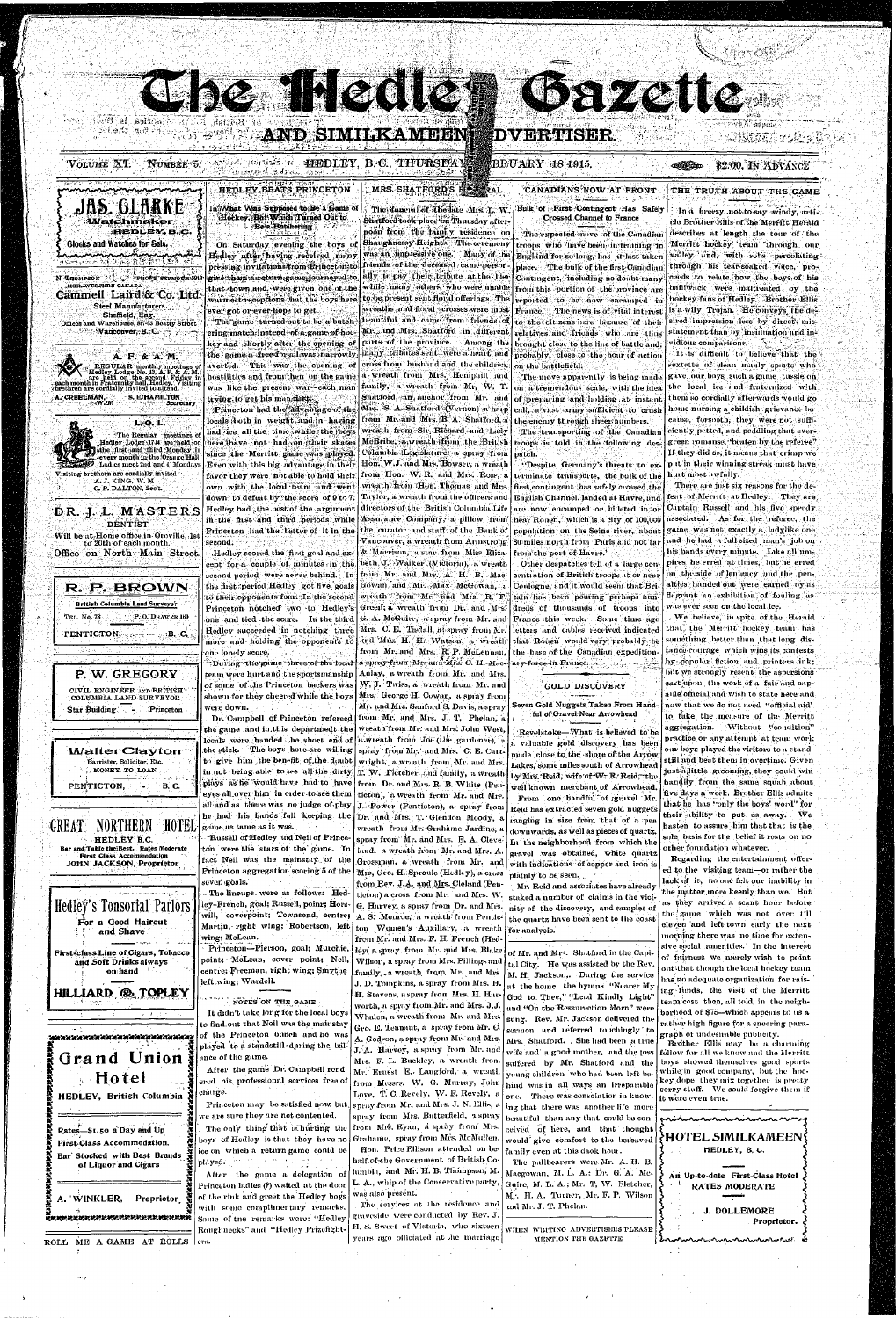**AND SIMILKAMEEN** 

## **DVERTISER**

## BRUARY 18 1915.

## \$2.00, In Abvance

## THE TRUTH ABOUT THE GAME

In a breezy, not to say windy, artiele Brother Ellis of the Merritt Herald describes at length the tour of the Merritt hockey team through our walley and, with sobs percolating: through his tear-soaked voice, proceeds to relate how the boys of his bailiwack were maltreated by the hockey fans of Hedley. Brother Ellis is a wily Trojan. He conveys, the desired impression less by direct, misstatement than by instituation and invidious comparisons. **TARAT** 

It is difficult to believe that the sextette of clean manly sports who gave our boys such a game tussle on the local ice and fraternized with. them so cordially afterwards would go home nursing a childish grievance be cause, forsooth, they were not sufficiently petted, and peddling that evergreen romanse, "beaten by the referee" If they did so, it means that crimp we put in their winning streak must have hurt most awfully.

There are just six reasons for the defeat of Merritt at Hedley. They are Captain Russell and his five speedy. associated. As for the referee, the game was not exactly a ladylike one and he had a full sized man's job on his hands every minute. Like all umpires he erred at times, but he erred on the side of leniency and the penalties handed out were earned by as flagrant an exhibition of fouling as was ever seen on the local ice.

We believe, in spite of the Herald. that the Merritt hockey team has sométhing better than that long distance-courage which wins its contests hy popular fiction and printers ink: but we strongly resent the aspersions cast upon, the work of a fair and capable official and wish to state here and now that we do not need "official aid' to take the measure of the Merritt aggregation. Without "condition"

# HEDLEY BEATS PRINCETON

**CE ARE IN ROID** 

Be a Butchering

VOLUME XT. NUMBER 5. AND COLLET FREDLEY, B.C., THURSDA

روی او به کار ۱۹۸۸ به در ۱۹۸۰ برای کرده ک

Sonnation is Hot

JAS. GLARKE

*Matchmaker* 

N. THOMPSON PROPERTY SEY NOTE 391

Cammell Laird & Co. Ltd

Sheffield, Eng.

Offices and Warehouse, 847-63 Beatty Street

Redley Lodge No. 43, A.F. & A.M.<br>are held on the second Friday in<br>ach month in Fraternity hall, Hodley. Visiting<br>wethren are cordially invited to attend.

Isiting brethern are cordially invited

A. J. KING, W. M

C. P. DALTON, Sec't.

DR.J.L.MASTERS

Will be at Home office in Oroville. 1s

to 20th of each month.

Office on North Main Street.

R. P. BROWN

**British Columbia Land Surveyor** 

PENTICTON, According B. C.

P. W. GREGORY

CIVIL ENGINEER AND BRITISH

COLUMBIA LAND SURVEYOR

P. O. DRAWER 160

Princeton

**DENTIST** 

Steel Manufacturers

Manconver, B. C. C. Trans

A. F. & A. M.

**S. E. HAMILTON** 

The Regular meetings o Hedley Lodge 1744 are held on

L.O.L.

the first and third Monday in

every month in the Orange Hall

Ladies meet 2nd and 4 Monday

Secretary

REGULAR monthly moetings<br>ledley Lodge No. 43, A. F. & A.

**Glocks and Watches for Sale.** 

nananananan

MGR. WEBIKRN CANADA

A. CREELMAN,

TEL. No. 78

Star Building

mentex, é.c

ા અને તેણે સંબંધનારી કે સુનેશુરી

On Saturday evening the boys of Hedley after having received many pressing invitations/from Erinceton; to give them n return game jour neved to that town and were given one of the warmest receptions that the boys here ever got or ever hope to get. The game turned out to be a butch-

ering match instead of a game of hockey and shortly after the opening of the game a free-for-allevas marrowly averted. This was the opening of a wreath from Mrs. Hemphill and hostilities and from then on the game. family, a wreath from Mr, W. T. was like the present war-each man trying to get his mandastressed Shatford, an anchor from Mr. and Princeton had the advantage of the Mis. S. A. Shatford (Vernon) a harp locals hoth in weight, and in having from Mr. and Mis. B. A. Shafford. a wrenth from Sir Richard and Lady had ice all the time while the boys here thave not had on their skates since the Merritt game was played. Hon. W.J. and Mrs. Bowser, a wreath Even with this big advantage in their favor they were not able to hold their from Hon. W. R. and Mrs. Ross, a wreath from Hon. Thomas and Mrs. own with the local team and went Taylor, a wreath from the officers and down to defeat by the score of 9 to 7. Hedley had the best of the sugument directors of the British Columbia Life Assurance Company, a pillow from in the first and third periods while Princeton had the better of it in the the curator and staff of the Bank of Vancouver, a wreath from Armstrong  $\mathop{\mathrm{second.}}$  :

cept for a couple of minutes in the beth J. Walker (Victoria), a wreath from Mr. and Mrs. A. H. B. Macsecond period were never behind. In the first period Hedley got five goals Gowan and Mr. Max McGowan, a to their opponents four. In the second wreath from Mr. and Mrs. R. F. Green; a wreath from Dr. and Mrs. Princeton notched two to Hedley's one and tied the score. In the third | G. A. McGuire, a spray from Mr. and Mrs. C. E. Tisdall, a spray from Mr. Hedley succeeded in notching three and Mrs. H. H. Watson, a wreath more and holding the opponents to from Mr. and Mrs. R. P. McLennan, one lonely score.

During the game three of the local a spray from Mr. and Mr. C. H. Macteam were hurt and the sportsmanship of some of the Princeton backers was shown for they cheered while the boys were down.

Dr. Campbell of Princeton refereed from Mr. and Mrs. J. T. Phelan. a

#### MRS. SHATFORD'S ELECTRAL In What Was Supposed to Be a Game of<br>Hockey, But Which I arned Out to The funcion of the late Mis. L. W. Shatford took-place on Thursday after-

Hedley scored the first goal and ex-

Aulay, a wreath from Mr. and Mrs. W, J. Twiss, a wreath from Mr. and Mrs. George H. Cowan, a spray from Mr. and Mrs. Sanford S. Davis, a spray

 $\sim$  and in this denartmed the wreuth from Mr. and Mrs. John West

CANADIANS NOW AT FRONT Bulk of First Contingent Has Safely **Crossed Channel to France** 

**Chazette** 

nodn from the family residence on The expected move of the Canadian Shaughnessy Heights] The ceremony troops who have been in training in was an impressive one. Many of the England for so long, has at last taken fidends of the deceased came person place. The bulk of the first Canadian ally to pay their tribute at the bier Contingent, including no doubt many while many others who were unable from this portion of the province are to be present sent floral offerings. The reported to be now encamped in wreaths and floral -crosses were most France. The news is of vital interest beautiful and came from friends of to the citizens here because of their Missund Mrs. Shatford in different relatives and friends who are thus parts of the province. Among the brought close to the line of battle and, many tributes sent were a heart and probably, close to the hour of action cross from husband and the children. on the battlefield.

The move apparently is being made on a tremendous scale, with the idea of preparing and holding at instant call. a vast army sufficient to crush the enemy through sheer numbers. The transporting of the Canadian McBribe, a wreath from the British troops is told in the following des-Columbia Legislatin'e, a spray from patch.

"Despite Germany's threats to exterminate transports, the bolk of the first contingent has safely crossed the English Channel, landed at Havre, and are now encamped or billeted in or hear Ronen, which is a city of 100,000 population on the Seine river, about 80 miles north from Paris and not far from the port of Havre." & Morrison, a star from Miss Eliza-

> Other despatches tell of a large coneentiation of British troops at or near Coulogne, and it would seem that Britain has been pouring perhaps hundreds of thousands of troops into France this week. Some time ago letters and cables received indicated that Rouen would very probably be the base of the Canadian expedition-

#### **GOLD DISCOVERY**

Seven Gold Nuggets Taken From Handful of Gravel Near Arrowhead

|                                                                            |                                                                          | hue Rome and mismo achievinement alementaries will also well well also achieve | Revelstoke—What is believed to be       | practice or any attempt at team work                                        |
|----------------------------------------------------------------------------|--------------------------------------------------------------------------|--------------------------------------------------------------------------------|-----------------------------------------|-----------------------------------------------------------------------------|
|                                                                            | the stick. The boys here are willing spray from Mr. and Mrs. C. E. Cart- | locals were handed the short end of wwreath from Joe (the gardener), a         | a valuable gold discovery has been      | our boys played the visitors to a stand-                                    |
| <b>WalterClayton</b>                                                       |                                                                          |                                                                                | made close to the shore of the Arrow    | still and beat them in overtime. Given                                      |
| Barrister, Solicitor, Etc.<br>MONEY TO LOAN                                | to give him the benefit of the doubt wright, a wreath from Mr. and Mrs.  |                                                                                | Lakes, some miles south of Arrowhead    | just a little grooming, they could win                                      |
|                                                                            |                                                                          | in not being able to see all the dirty T. W. Fletcher and family, a wreath     | by Mrs. Reid, wife of W. R. Reid, the   | bandily from the same squab about                                           |
| <b>B.C.</b><br>PENTICTON,                                                  | plays as he would have had to have from Dr. and Mrs. R. B. White (Pen-   |                                                                                | well known merchant of Arrowhead.       | five days a week. Brother Ellis admits                                      |
|                                                                            | eyes all over him in order to see them                                   | ticton), a wreath from Mr. and Mrs.                                            | From one handful of gravel Mr.          |                                                                             |
|                                                                            | all and as there was no judge of play                                    | J. Power (Penticton), a spray from                                             | Reid has extracted seven gold nuggets   | that he has "only the boys' word" for                                       |
|                                                                            |                                                                          | he had his hands full keeping the Dr. and Mrs. T. Glendon Moody, a             | ranging in size from that of a pea      | their ability to put us away. We                                            |
| NORTHERN<br>GREAT                                                          | $\pm 0$ $\pm 1$ game us tame as it was.                                  | wreath from Mr. Grahame Jardine, a                                             | downwards, as well as pieces of quartz. | hasten to assure him that that is the                                       |
| HEDLEY B.C.                                                                | Russell of Hedley and Neil of Prince-                                    | spray from Mr. and Mrs. E. A. Cleve                                            | In the neighborhood from which the      | sole basis for the belief it rests on no                                    |
| Bar and Table the Best. Rates Moderate<br><b>First Class Accommodation</b> | ton were the stars of the game. In                                       | land, a wreath from Mr. and Mrs. A.                                            | gravel was obtained, white quartz       | other foundation whatever.                                                  |
| JOHN JACKSON, Proprietor                                                   | fact Neil was the mainstay of the                                        | Grossman, a wreath from Mr. and                                                | with indications of copper and iron is  | Regarding the entertainment offer-                                          |
|                                                                            | Princeton aggregation scoring 5 of the                                   | Mrs, Geo. H. Sproule (Hedley), a cross                                         | plainly to be seen.                     | ed to the visiting team-or rather the                                       |
|                                                                            | seven goals.                                                             | from Rev. J.A. and Mrs. Cleland (Pen-                                          | Mr. Reid and associates have already    | lack of it, no one felt our inability in                                    |
|                                                                            | The lineups, were as follows: Hed                                        | ticton) a cross from Mr. and Mrs. W.                                           | staked a number of claims in the vici-  | the matter more keenly than we. But                                         |
| Hedley's Tonsorial Parlors                                                 | ley-French, goal; Russell, poinr; Hors-                                  | G. Harvey, a spray from Dr. and Mrs.                                           | nity of the discovery, and samples of   | as they arrived a scant hour before                                         |
|                                                                            | will, coverpoint; Townsend, centre;                                      | A. S. Monroe, a wreath from Pentic-                                            | the quartz have been sent to the coast  | the game which was not over till                                            |
| For a Good Haircut                                                         | Martin, right wing; Robertson, left                                      | ton Women's Auxiliary, a wreath                                                | for analysis.                           | eleven and left town early the next                                         |
| and Shave                                                                  | wing; McLean.                                                            | from Mr. and Mrs. F. H. French (Hed-                                           |                                         | morning there was no time for exten-                                        |
|                                                                            | Princeton-Pierson, goal; Murchie,                                        | ley( a spray, from Mr. and Mrs. Blake)                                         |                                         | sive social amenities. In the interest                                      |
| First-class Line of Cigars, Tobacco<br>and Soft Drinks always              | point; McLean, cover point; Neil,                                        | Wilson, a spray from Mrs. Pillings and                                         | of Mr. and Mrs. Shatford in the Capi    | of fairness we merely wish to point                                         |
| on hand                                                                    | centre; Freeman, right wing; Smythe                                      | family, a wreath from Mr. and Mrs.                                             | tal City. He was assisted by the Rev    | out that though the local hockey team                                       |
|                                                                            | left wing; Wardell.                                                      | J. D. Tompkins, a spray from Mrs. H.                                           | M. H. Jackson,. During the service      | has no adequate organization for rais-                                      |
| HILLIARD @ TOPLEY                                                          |                                                                          | H. Stevens, aspray from Mrs. H. Har-                                           | at the home the hymns "Nearer My        | ing funds, the visit of the Merritt                                         |
|                                                                            | NOTES ON THE GAME                                                        |                                                                                | God to Thee," "Lead Kindly Light"       | team cost then, all told, in the neigh-                                     |
| $\mathbf{z} = \mathbf{z} - \mathbf{z}$ , where $\mathbf{z}$                | It didn't take long for the local boys                                   | worth, a spray from Mr. and Mrs. J.J.                                          | and "On the Ressurection Morn" were     | borhood of \$75-which appears to us a                                       |
|                                                                            | to find.out that Neil was the mainstay                                   | Whalen, a wreath from Mr. and Mrs.                                             | sung. Rev. Mr. Jackson delivered the    | rather high figure for a speering para-                                     |
| mentan di Kutha wa Kata wa Kata ma Kata                                    | of the Princeton bunch and he was                                        | Geo. E. Tennant, a spray from Mr. C.                                           | sermon and referred touchingly to       | graph of undesimble publicity.                                              |
|                                                                            | played to a standstill during the bal                                    | A. Godson, a spray from Mr. and Mrs.                                           | Mes. Shatford. . She had been a true    | Brother Ellis may be a charming                                             |
| Grand Union                                                                | ance of the game.                                                        | J. A. Harvey, a spray from Mr. and                                             | wife and a good mother, and the joss    | fellow for all we know and the Merritt                                      |
|                                                                            | After the game Dr. Campbell rend                                         | Mrs. F. L. Buckley, a wreath from                                              | suffered by Mr. Shatford and the        | boys showed themselves good sports                                          |
| <b>Hotel</b>                                                               | ered his professional services free of                                   | Mr. Ernest E. Langford, a wreath                                               | young children who had been left be-    | while in good company, but the hoc-<br>key dope they mix together is pretty |
|                                                                            |                                                                          | from Messrs. W. G. Murray, John                                                | hind was in all ways an irreparable     | sorry stuff. We could forgive them if                                       |
| HEDLEY, British Columbia                                                   | charge.                                                                  | Love, T. C. Revely, W. F. Revely, a                                            | one. There was consolation in know-     | it were even true.                                                          |
|                                                                            | Princeton may be satisfied now but.                                      | spray from Mr. and Mrs. J. N. Ellis, a                                         | ing that there was another life more    |                                                                             |
|                                                                            | we are sure they are not contented.                                      | spray from Mrs. Butterfield, a spray                                           | beautiful than any that could be con-   | aninnannannanna                                                             |
| Rates-\$1.50 a Day and Up                                                  | The only thing that is hurting the                                       | from Mrs. Eyan, a spray from Mrs.                                              | ceived of here, and that thought        |                                                                             |
| First-Class Accommodation.                                                 | boys of Hedley is that they have no                                      | Grahame, spray from Mrs. McMullen.                                             | would give comfort to the bereaved      | <b>{HOTEL SIMILKAMEEN</b>                                                   |
|                                                                            | ice on which a return game could be                                      | Hon. Price Ellison attended on be-                                             | family even at this daok hour.          | HEDLEY, B.C.                                                                |
| Bar Stocked with Best Brands<br>of Liquor and Cigars                       | played.                                                                  | half of the Government of British Co-                                          | The pallbearers were Mr. A. H. B.       |                                                                             |
|                                                                            | After the game a delegation of                                           | lumbia, and Mr. H. B. Thompson, M.                                             | Macgowan, M. L. A.: Dr. G. A. Mc-       | An Up-to-date First-Class Hotel                                             |
|                                                                            | Princeton ladies (?) waited at the door                                  | L. A., whip of the Conservative party,                                         | Guire, M. L. A.; Mr. T, W. Fletcher,    | <b>RATES MODERATE</b>                                                       |
|                                                                            | of the rink and greet the Hedley boys                                    | was also present.                                                              | Mr. H. A. Turner, Mr. F. P. Wilson      |                                                                             |
| A. WINKLER,<br>Proprietor                                                  | with some complimentary remarks.                                         | The services at the residence and                                              | and Mr. J. T. Phelan.                   |                                                                             |
| uran na ana ana ana ana ana ana ana a                                      | Some of the remarks were: "Hedley                                        | graveside were conducted by Rev. J.                                            |                                         | J. DOLLEMORE                                                                |
|                                                                            | Roughnecks" and "Hedley Prizefight-                                      | H. S. Sweet of Victoria, who sixteen                                           | WHEN WRITING ADVERTISERS PLEASE         | Proprietor.                                                                 |
|                                                                            |                                                                          |                                                                                |                                         |                                                                             |
|                                                                            |                                                                          |                                                                                |                                         |                                                                             |
| ME A GAME AT ROLLS lees.                                                   |                                                                          | years ago officiated at the marriage                                           | MENTION THE GAZETTE                     |                                                                             |
| ROLL                                                                       |                                                                          |                                                                                |                                         |                                                                             |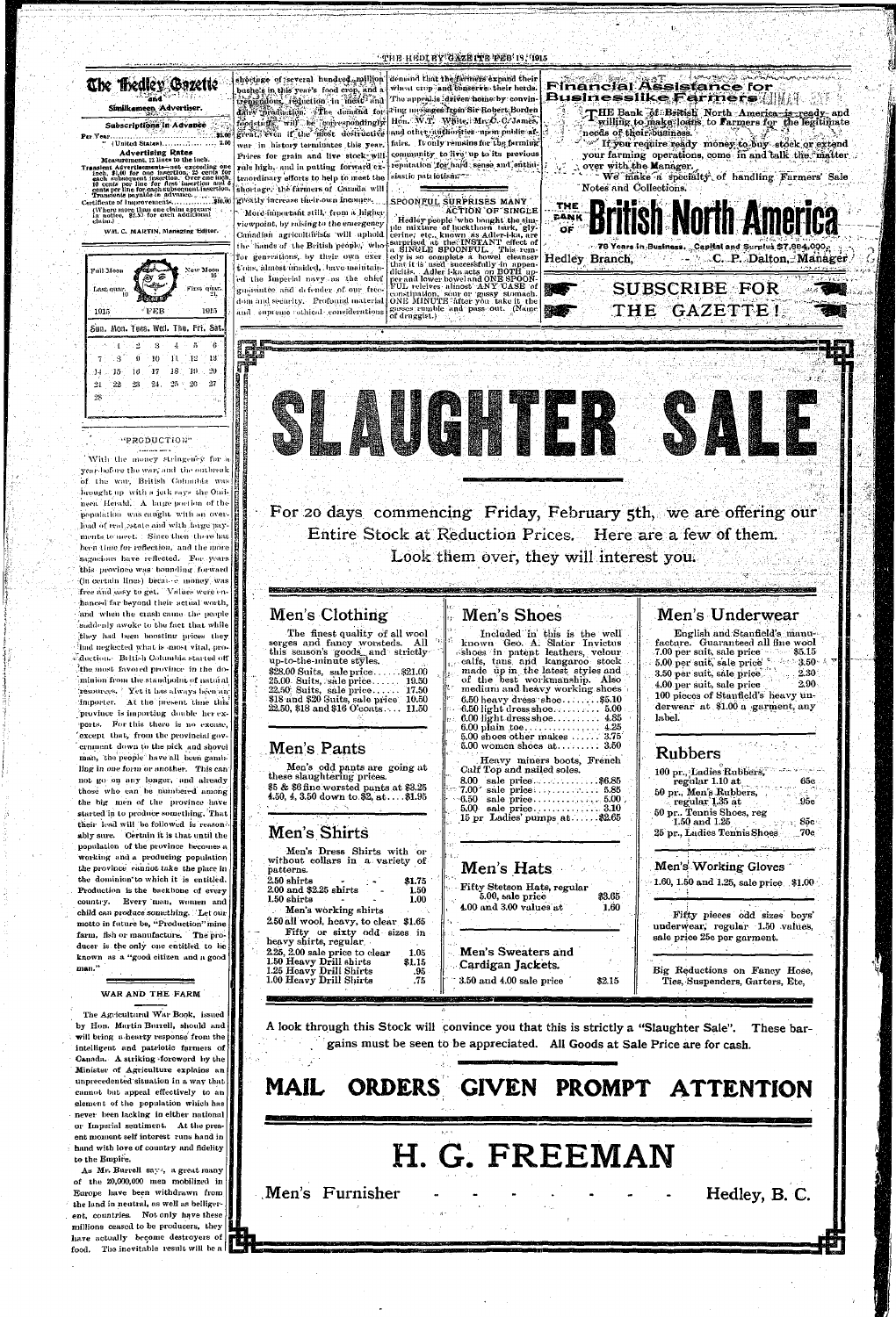#### "THE HEDI EY GAZE ITE FEB IS, 1915

## The Bedley Gozette Similkameen Advertiser

#### Subscriptions in Advance 32.00 Per Year.......

**Advertising Rates** Measurement, 12 lines to the inch.

Measurement, 12 mes to the mean of the model and increase inch. \$1,00 for one insertion. 25 cents for<br>each subsequent insertion. 25 cents for<br>each subsequent insertion. Over one inch.<br>10 cents per line for first insertion (Where more than one claim appears<br>in notice, \$2.59 for each additional<br>claim.)

WM. C. MARTIN, Managing Editor.

New Moon Fúll Moon First quar. Last quar. 1915 1915 Sun. Mon. Tues. Wed. Thu. Fri. Sat  $-10 - 11 - 12$  $^{\circ}$  . S  $\mathbf{0}$ - 13.  $14 = 15 - 16 = 17 - 18 = 19 = 20$  $24 - 25 = 20$  $27$  $21$  $-22 - 23$  $2\%$ 

#### **"PRODUCTION"**

With the money stringency for a year-before the war, and the outbreak of the war, British Columbia was heought up with a jetk says the Ouineen Herald. A large portion of the population was caught with an overload of real estate and with large payments to meet. Since then there has been time for reflection, and the more sagacious have reflected. For years | this province was bounding forward (in certain lines) because money was free and easy to get. Values were enhanced far beyond their actual worth, and when the crash came the people saddenly awoke to the fact-that while they had been boosting prices they had neglected what is most vital, production. British Columbia started off the most favored province in the dominion from the standpoint of natural resources. Yet it has always been an importer. At the present time this province is importing double her exports. For this there is no excuse, except that, from the provincial government down to the pick and shovel man, the people have all been gambling in one form or another. This can not go on any longer, and already those who can be numbered among the big men of the province have started in to produce something. That their lead will be followed is reasonably sure. Certain it is that until the population of the province becomes a working and a producing population the province cannot take the place in the dominion to which it is entitled. Production is the backbone of every country. Every man, women and child can produce something. Let our motto in future be, "Production" mine farm, fish or manufacture. The producer is the only one entitled to be known as a "good citizen and a good man."

bushels in this year's food crop, and a trengadous reduction in meals and foodstaffs. will be converondingly war in history terminates this year.

Prices for grain and live stock-will rule high, and in putting forward extraordinary efforts to help to meet the shortage, the farmers of Canada will greatly increase their own incomes.

More important still, from a higher viewpoint, by raising to the emergency Canadian agriculturists will uphold the hands of the British people, who for generations, by their own exer t'ons, almost unaided, have maintain ed the Imperial navy as the chief guarantee and defender of our freeguarantee and detender of our tree-constitution, sour or gassy stomach.<br>dom and security. Profound material ONE MINUTE after you take it the and supreme athical considerations

shortinge of several hundred million demand that the farmers expand their wheat crop and conserve their herds. The appeal is driven home by convindin William of the demand for fring messages from Sir Robert Borden Hon. W.T. White: Mr. O. C. James, great, even if the most destructive and other authorities upon public affairs. It only remains for the farming community to live up to its previous reputation for hard sense and enthusiastic patriotism.

## SPOONFUL SURPRISES MANY

**ACTION OF SINGLE** Hedley people who bought the simple mixture of huckthorn bark, glycerine, etc., known as Adler-i-ka, are<br>sarprised at the INSTANT effect of a SINGLE SPOONFUL. This remedy is so complete a howel cleanser<br>that it is used successfully in appen-<br>dicitis. Adler i-ka acts on BOTH up-<br>per and lower bowel and ONE SPOON-FUL releives almost ANY CASE of gasses rumble and pass out. (Name of druggist.)



**SUBSCRIBE FOR** 

**Financial Assistance for** 

**Businesslike Farmers Willi** 



Entire Stock at Reduction Prices. Here are a few of them. Look them over, they will interest you.

## Men's Clothing

The finest quality of all wool serges and fancy worsteds. All this season's goods and strictly up-to-the-minute styles. \$28.00 Suits, sale price......\$21.00 25.00 Suits, sale price...... 19.50 22.50 Suits, sale price...... 17.50<br>\$18 and \$20 Suits, sale price 10.50  $22.50, $18$  and  $$16$  O'coats... 11.50

## Men's Shoes

<u> Markata ya shekara wa shi na matu ya kutoka matu ya matu ya matu ya matu ya kutoka ya kutoka matu ya k</u>

Included in this is the well known Geo. A. Slater Invictus shoes in patent leathers, velour calfs, tans and kangaroo stock made up in the latest styles and of the best workmanship. Also<br>medium and heavy working shoes  $6.50$  heavy dress shoe.......\$5.10 

## Men's Underwear

English and Stanfield's manufacture. Guaranteed all fine wool 7.00 per suit, sale price  $$5.15$ 5.00 per suit, sale price 50 400-3.50 3.50 per suit, sale price  $2.30<sub>1</sub>$ 4.00 per suit, sale price  $2.90<sub>1</sub>$ 100 pieces of Stanfield's heavy underwear at \$1.00 a garment, any label.

#### WAR AND THE FARM

The Agricultural War Book, issued by Hon. Martin Burrell, should and will bring a hearty response from the intelligent and patriotic farmers of Canada. A striking foreword by the Minister of Agriculture explains an unprecedented situation in a way that cannot but appeal effectively to an element of the population which has never been lacking in either national or Imperial sentiment. At the present moment self interest runs hand in hand with love of country and fidelity to the Empire.

As Mr. Burrell says, a great many of the 20,000,000 men mobilized in Europe have been withdrawn from the land in neutral, as well as belligerent, countries. Not only have these millions ceased to be producers, they have actually become destroyers of food. The inevitable result will be a

| Men's Dress Shirts with or<br>$3.3 - 2.7 - 3.7$<br>without collars in a variety of<br>Men's Working Gloves<br>Men's Hats<br>patterns.<br>2.50 shirts<br>\$1.75<br>1.60, 1.50 and 1.25, sale price $$1.00$<br>Fifty Stetson Hats, regular<br>2.00 and \$2.25 shirts<br>1.50<br>\$3.65<br>5.00, sale price<br>$1.50$ shirts<br>1.00<br>4.00 and 3.00 values at<br>1.60<br>Men's working shirts<br>Fifty pieces odd sizes boys'<br>2.50 all wool, heavy, to clear \$1.65<br>underwear, regular 1.50 values,<br>Fifty or sixty odd sizes in<br>sale price 25c per garment.<br>heavy shirts, regular<br>Men's Sweaters and<br>2.25, 2.00 sale price to clear<br>1.05<br>1.50 Heavy Drill shirts<br>\$1.15<br>Cardigan Jackets.<br>Big Reductions on Fancy Hose,<br>1.25 Heavy Drill Shirts<br>.95<br>$3.50$ and $4.00$ sale price<br>1.00 Heavy Drill Shirts<br>.75<br>\$2.15<br>Ties, Suspenders, Garters, Etc,<br>the company of the | Men's Pants<br>Men's odd pants are going at<br>these slaughtering prices.<br>\$5 & \$6 fine worsted pants at \$3.25<br>4.50, 4, 3.50 down to \$2, at\$1.95<br>Men's Shirts | $5.00$ women shoes at $\dots \dots$ 3.50<br>Heavy miners boots, French<br>Calf Top and nailed soles.<br>8.00 sale price\$6.85<br>$15 \text{ pr}$ Ladies' pumps at\$2.65 | <b>Rubbers</b><br>100 pr., Ladies Rubbers,<br>regular 1.10 at<br>65c<br>50 pr., Men's Rubbers,<br>$\overline{.95c}$<br>$\therefore$ regular 1.35 at<br>50 pr., Tennis Shoes, reg<br>85c<br>$1.50$ and $1.25$<br>25 pr., Ladies Tennis Shoes<br>.70e |
|-----------------------------------------------------------------------------------------------------------------------------------------------------------------------------------------------------------------------------------------------------------------------------------------------------------------------------------------------------------------------------------------------------------------------------------------------------------------------------------------------------------------------------------------------------------------------------------------------------------------------------------------------------------------------------------------------------------------------------------------------------------------------------------------------------------------------------------------------------------------------------------------------------------------------------------|----------------------------------------------------------------------------------------------------------------------------------------------------------------------------|-------------------------------------------------------------------------------------------------------------------------------------------------------------------------|-----------------------------------------------------------------------------------------------------------------------------------------------------------------------------------------------------------------------------------------------------|
|                                                                                                                                                                                                                                                                                                                                                                                                                                                                                                                                                                                                                                                                                                                                                                                                                                                                                                                                   |                                                                                                                                                                            |                                                                                                                                                                         |                                                                                                                                                                                                                                                     |

A look through this Stock will convince you that this is strictly a "Slaughter Sale". These bargains must be seen to be appreciated. All Goods at Sale Price are for cash.

#### ORDERS GIVEN PROMPT MAIL **ATTENTION**

H. G. FREEMAN Men's Furnisher Hedley, B. C.